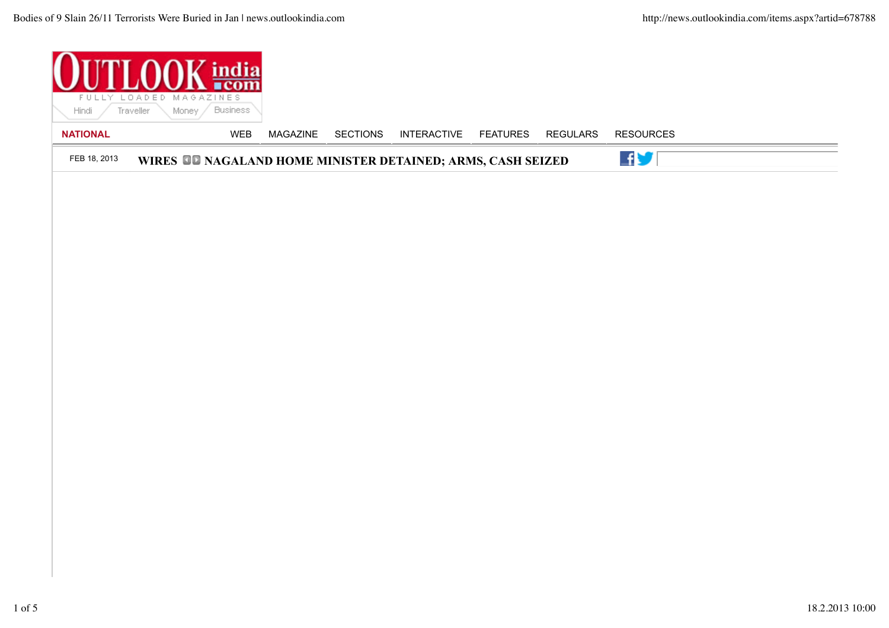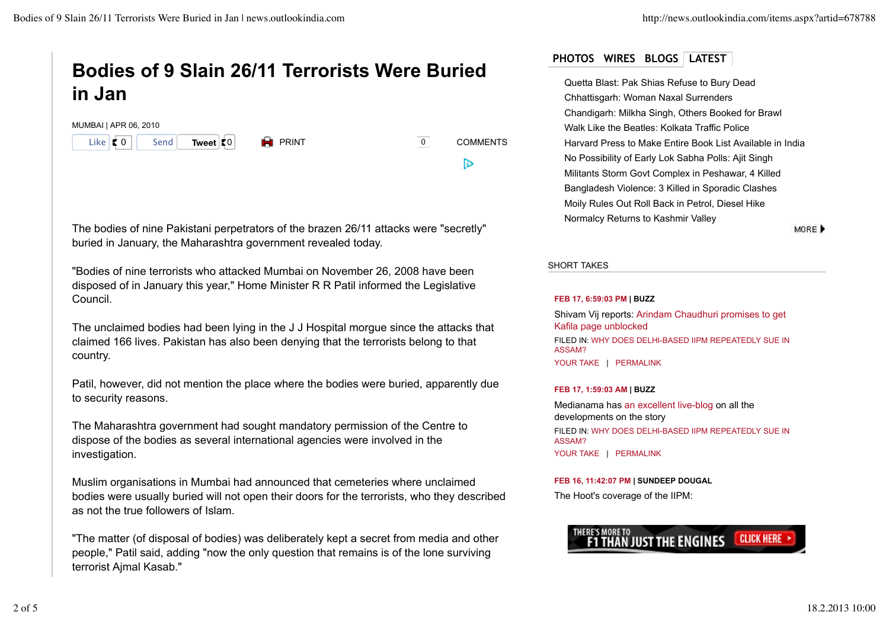# **Bodies of 9 Slain 26/11 Terrorists Were Buried in Jan**

| MUMBAI   APR 06, 2010                          |      |             |                      |                 |
|------------------------------------------------|------|-------------|----------------------|-----------------|
| Like $\vert \cdot \vert$ 0 $\vert \cdot \vert$ | Send | Tweet $ 0 $ | $\blacksquare$ PRINT | <b>COMMENTS</b> |
|                                                |      |             |                      |                 |

The bodies of nine Pakistani perpetrators of the brazen 26/11 attacks were "secretly" buried in January, the Maharashtra government revealed today.

"Bodies of nine terrorists who attacked Mumbai on November 26, 2008 have been disposed of in January this year," Home Minister R R Patil informed the Legislative Council.

The unclaimed bodies had been lying in the J J Hospital morgue since the attacks that claimed 166 lives. Pakistan has also been denying that the terrorists belong to that country.

Patil, however, did not mention the place where the bodies were buried, apparently due to security reasons.

The Maharashtra government had sought mandatory permission of the Centre to dispose of the bodies as several international agencies were involved in the investigation.

Muslim organisations in Mumbai had announced that cemeteries where unclaimed bodies were usually buried will not open their doors for the terrorists, who they described as not the true followers of Islam.

"The matter (of disposal of bodies) was deliberately kept a secret from media and other people," Patil said, adding "now the only question that remains is of the lone surviving terrorist Ajmal Kasab."

# **PHOTOS WIRES BLOGS LATEST**

Quetta Blast: Pak Shias Refuse to Bury Dead Chhattisgarh: Woman Naxal Surrenders Chandigarh: Milkha Singh, Others Booked for Brawl Walk Like the Beatles: Kolkata Traffic Police Harvard Press to Make Entire Book List Available in India No Possibility of Early Lok Sabha Polls: Ajit Singh Militants Storm Govt Complex in Peshawar, 4 Killed Bangladesh Violence: 3 Killed in Sporadic Clashes Moily Rules Out Roll Back in Petrol, Diesel Hike Normalcy Returns to Kashmir Valley

MORE D

SHORT TAKES

#### **FEB 17, 6:59:03 PM | BUZZ**

Shivam Vij reports: Arindam Chaudhuri promises to get Kafila page unblocked FILED IN: WHY DOES DELHI-BASED IIPM REPEATEDLY SUE IN ASSAM? YOUR TAKE | PERMALINK

# **FEB 17, 1:59:03 AM | BUZZ**

Medianama has an excellent live-blog on all the developments on the story FILED IN: WHY DOES DELHI-BASED IIPM REPEATEDLY SUE IN ASSAM?

YOUR TAKE | PERMALINK

# **FEB 16, 11:42:07 PM | SUNDEEP DOUGAL**

The Hoot's coverage of the IIPM: